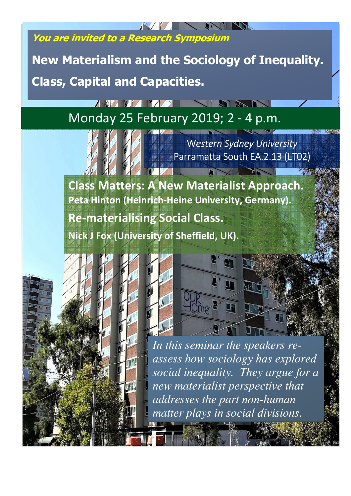**You are invited to a Research Symposium** 

**A XI V V V V V X** 

 **New Materialism and the Sociology of Inequality. Class, Capital and Capacities.** 

# Monday 25 February 2019; 2 - 4 p.m.



W*estern Sydney University* Parramatta South EA.2.13 (LT02)

**STATISTICS** 

**Class Matters: A New Materialist Approach. Peta Hinton (Heinrich-Heine University, Germany).** 

**Re-materialising Social Class. Nick J Fox (University of Sheffield, UK).** 



**Microsoft** 



*In this seminar the speakers reassess how sociology has explored social inequality. They argue for a new materialist perspective that addresses the part non-human matter plays in social divisions.*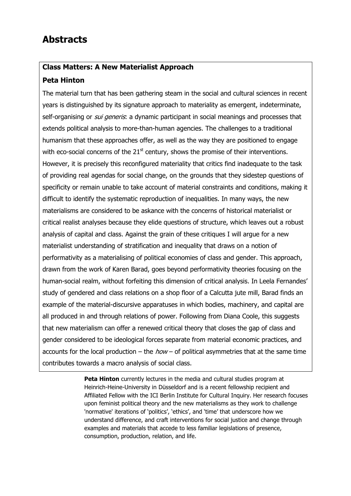# **Abstracts**

## **Class Matters: A New Materialist Approach**

### **Peta Hinton**

The material turn that has been gathering steam in the social and cultural sciences in recent years is distinguished by its signature approach to materiality as emergent, indeterminate, self-organising or *sui generis*: a dynamic participant in social meanings and processes that extends political analysis to more-than-human agencies. The challenges to a traditional humanism that these approaches offer, as well as the way they are positioned to engage with eco-social concerns of the  $21<sup>st</sup>$  century, shows the promise of their interventions. However, it is precisely this reconfigured materiality that critics find inadequate to the task of providing real agendas for social change, on the grounds that they sidestep questions of specificity or remain unable to take account of material constraints and conditions, making it difficult to identify the systematic reproduction of inequalities. In many ways, the new materialisms are considered to be askance with the concerns of historical materialist or critical realist analyses because they elide questions of structure, which leaves out a robust analysis of capital and class. Against the grain of these critiques I will argue for a new materialist understanding of stratification and inequality that draws on a notion of performativity as a materialising of political economies of class and gender. This approach, drawn from the work of Karen Barad, goes beyond performativity theories focusing on the human-social realm, without forfeiting this dimension of critical analysis. In Leela Fernandes' study of gendered and class relations on a shop floor of a Calcutta jute mill, Barad finds an example of the material-discursive apparatuses in which bodies, machinery, and capital are all produced in and through relations of power. Following from Diana Coole, this suggests that new materialism can offer a renewed critical theory that closes the gap of class and gender considered to be ideological forces separate from material economic practices, and accounts for the local production – the  $how -$  of political asymmetries that at the same time contributes towards a macro analysis of social class.

> **Peta Hinton** currently lectures in the media and cultural studies program at Heinrich-Heine-University in Düsseldorf and is a recent fellowship recipient and Affiliated Fellow with the ICI Berlin Institute for Cultural Inquiry. Her research focuses upon feminist political theory and the new materialisms as they work to challenge 'normative' iterations of 'politics', 'ethics', and 'time' that underscore how we understand difference, and craft interventions for social justice and change through examples and materials that accede to less familiar legislations of presence, consumption, production, relation, and life.